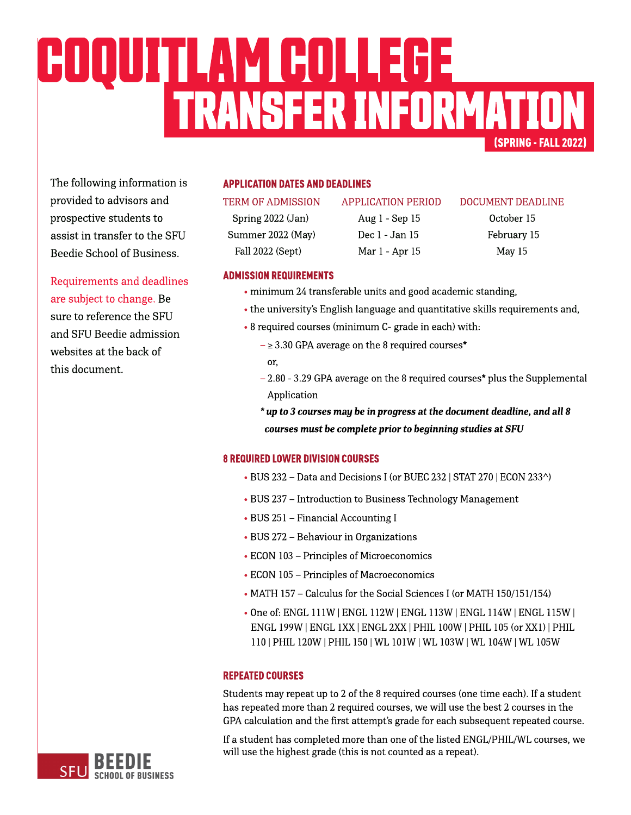# (SPRING-FALL2022) TRANSFERINFORMATION COQUITLAMCOLLEGE

The following information is provided to advisors and prospective students to assist in transfer to the SFU Beedie School of Business.

Requirements and deadlines are subject to change. Be sure to reference the SFU and SFU Beedie admission websites at the back of this document.

# **APPLICATION DATES AND DEADLINES**

Summer 2022 (May) Dec 1 - Jan 15 February 15 Fall 2022 (Sept) Mar 1 - Apr 15 May 15

Spring 2022 (Jan) Aug 1 - Sep 15 October 15

#### TERM OF ADMISSION APPLICATION PERIOD DOCUMENT DEADLINE

### **ADMISSION REQUIREMENTS**

- minimum 24 transferable units and good academic standing,
- the university's [English](https://www.sfu.ca/students/admission/admission-requirements/english-language-requirement.html) [language](https://www.sfu.ca/students/admission/admission-requirements/english-language-requirement.html) and quantitative skills requirements and,
- 8 required courses (minimum C- grade in each) with:
	- $\geq$  3.30 GPA average on the 8 required courses\* or,
	- $2.80 3.29$  GPA average on the 8 required courses\* plus the Supplemental Application
	- **\* upto3coursesmay bein progressat thedocument deadline,andall8 coursesmust becompleteprior tobeginningstudiesat SFU**

# **8 REQUIRED LOWER DIVISION COURSES**

- BUS 232 Data and Decisions I (or BUEC 232 | STAT 270 | ECON 233^)
- BUS 237 Introduction to Business Technology Management
- BUS 251 Financial Accounting I
- BUS 272 Behaviour in Organizations
- ECON 103 Principles of Microeconomics
- ECON 105 Principles of Macroeconomics
- MATH 157 Calculus for the Social Sciences I (or MATH 150/151/154)
- Oneof: ENGL 111W |ENGL 112W | ENGL 113W | ENGL 114W | ENGL 115W | ENGL 199W |ENGL 1XX|ENGL 2XX| PHIL 100W |PHIL 105(or XX1) |PHIL 110| PHIL 120W |PHIL 150| WL 101W | WL 103W | WL 104W | WL105W

# **REPEATED COURSES**

Students may repeat up to 2 of the 8 required courses (one time each). If a student has repeated more than 2 required courses, we will use the best 2 courses in the GPA calculation and the first attempt's grade for each subsequent repeated course.

If a student has completed more than one of the listed ENGL/PHIL/WL courses, we will use the highest grade (this is not counted as a repeat).